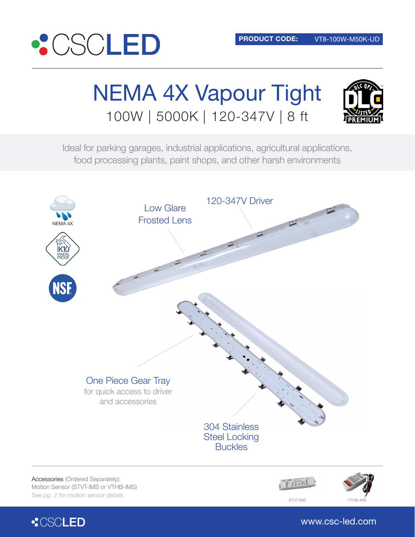

# NEMA 4X Vapour Tight 100W | 5000K | 120-347V | 8 ft



Ideal for parking garages, industrial applications, agricultural applications, food processing plants, paint shops, and other harsh environments





www.csc-led.com